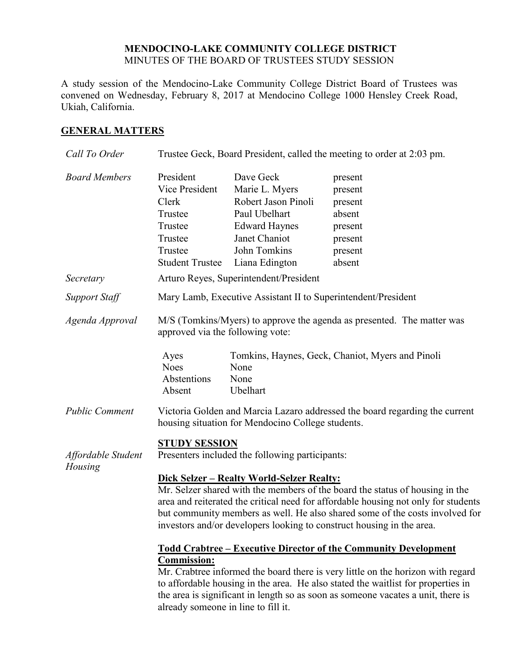### **MENDOCINO-LAKE COMMUNITY COLLEGE DISTRICT** MINUTES OF THE BOARD OF TRUSTEES STUDY SESSION

A study session of the Mendocino-Lake Community College District Board of Trustees was convened on Wednesday, February 8, 2017 at Mendocino College 1000 Hensley Creek Road, Ukiah, California.

### **GENERAL MATTERS**

| Call To Order                 | Trustee Geck, Board President, called the meeting to order at 2:03 pm.                                                                                                                                                                                                                                                                                                                                                                              |                                                                                                                                                |                                                                                    |
|-------------------------------|-----------------------------------------------------------------------------------------------------------------------------------------------------------------------------------------------------------------------------------------------------------------------------------------------------------------------------------------------------------------------------------------------------------------------------------------------------|------------------------------------------------------------------------------------------------------------------------------------------------|------------------------------------------------------------------------------------|
| <b>Board Members</b>          | President<br>Vice President<br>Clerk<br>Trustee<br>Trustee<br>Trustee<br>Trustee<br><b>Student Trustee</b>                                                                                                                                                                                                                                                                                                                                          | Dave Geck<br>Marie L. Myers<br>Robert Jason Pinoli<br>Paul Ubelhart<br><b>Edward Haynes</b><br>Janet Chaniot<br>John Tomkins<br>Liana Edington | present<br>present<br>present<br>absent<br>present<br>present<br>present<br>absent |
| Secretary                     | Arturo Reyes, Superintendent/President                                                                                                                                                                                                                                                                                                                                                                                                              |                                                                                                                                                |                                                                                    |
| <b>Support Staff</b>          | Mary Lamb, Executive Assistant II to Superintendent/President                                                                                                                                                                                                                                                                                                                                                                                       |                                                                                                                                                |                                                                                    |
| Agenda Approval               | M/S (Tomkins/Myers) to approve the agenda as presented. The matter was<br>approved via the following vote:                                                                                                                                                                                                                                                                                                                                          |                                                                                                                                                |                                                                                    |
|                               | Ayes<br><b>Noes</b><br>Abstentions<br>Absent                                                                                                                                                                                                                                                                                                                                                                                                        | None<br>None<br>Ubelhart                                                                                                                       | Tomkins, Haynes, Geck, Chaniot, Myers and Pinoli                                   |
| <b>Public Comment</b>         | Victoria Golden and Marcia Lazaro addressed the board regarding the current<br>housing situation for Mendocino College students.                                                                                                                                                                                                                                                                                                                    |                                                                                                                                                |                                                                                    |
| Affordable Student<br>Housing | <u>STUDY SESSION</u><br>Presenters included the following participants:<br>Dick Selzer - Realty World-Selzer Realty:<br>Mr. Selzer shared with the members of the board the status of housing in the<br>area and reiterated the critical need for affordable housing not only for students<br>but community members as well. He also shared some of the costs involved for<br>investors and/or developers looking to construct housing in the area. |                                                                                                                                                |                                                                                    |
|                               | Todd Crabtree - Executive Director of the Community Development<br><b>Commission:</b><br>Mr. Crabtree informed the board there is very little on the horizon with regard<br>to affordable housing in the area. He also stated the waitlist for properties in<br>the area is significant in length so as soon as someone vacates a unit, there is<br>already someone in line to fill it.                                                             |                                                                                                                                                |                                                                                    |